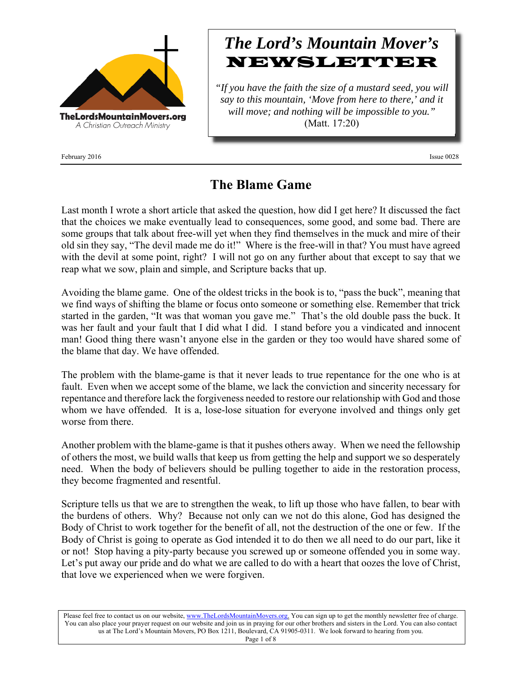

February 2016 Issue 0028

# *The Lord's Mountain Mover's* NEWSLETTER

*"If you have the faith the size of a mustard seed, you will say to this mountain, 'Move from here to there,' and it will move; and nothing will be impossible to you."* (Matt. 17:20)

## **The Blame Game**

Last month I wrote a short article that asked the question, how did I get here? It discussed the fact that the choices we make eventually lead to consequences, some good, and some bad. There are some groups that talk about free-will yet when they find themselves in the muck and mire of their old sin they say, "The devil made me do it!" Where is the free-will in that? You must have agreed with the devil at some point, right? I will not go on any further about that except to say that we reap what we sow, plain and simple, and Scripture backs that up.

Avoiding the blame game. One of the oldest tricks in the book is to, "pass the buck", meaning that we find ways of shifting the blame or focus onto someone or something else. Remember that trick started in the garden, "It was that woman you gave me." That's the old double pass the buck. It was her fault and your fault that I did what I did. I stand before you a vindicated and innocent man! Good thing there wasn't anyone else in the garden or they too would have shared some of the blame that day. We have offended.

The problem with the blame-game is that it never leads to true repentance for the one who is at fault. Even when we accept some of the blame, we lack the conviction and sincerity necessary for repentance and therefore lack the forgiveness needed to restore our relationship with God and those whom we have offended. It is a, lose-lose situation for everyone involved and things only get worse from there.

Another problem with the blame-game is that it pushes others away. When we need the fellowship of others the most, we build walls that keep us from getting the help and support we so desperately need. When the body of believers should be pulling together to aide in the restoration process, they become fragmented and resentful.

Scripture tells us that we are to strengthen the weak, to lift up those who have fallen, to bear with the burdens of others. Why? Because not only can we not do this alone, God has designed the Body of Christ to work together for the benefit of all, not the destruction of the one or few. If the Body of Christ is going to operate as God intended it to do then we all need to do our part, like it or not! Stop having a pity-party because you screwed up or someone offended you in some way. Let's put away our pride and do what we are called to do with a heart that oozes the love of Christ, that love we experienced when we were forgiven.

Please feel free to contact us on our website, www.TheLordsMountainMovers.org. You can sign up to get the monthly newsletter free of charge. You can also place your prayer request on our website and join us in praying for our other brothers and sisters in the Lord. You can also contact us at The Lord's Mountain Movers, PO Box 1211, Boulevard, CA 91905-0311. We look forward to hearing from you.

Page 1 of 8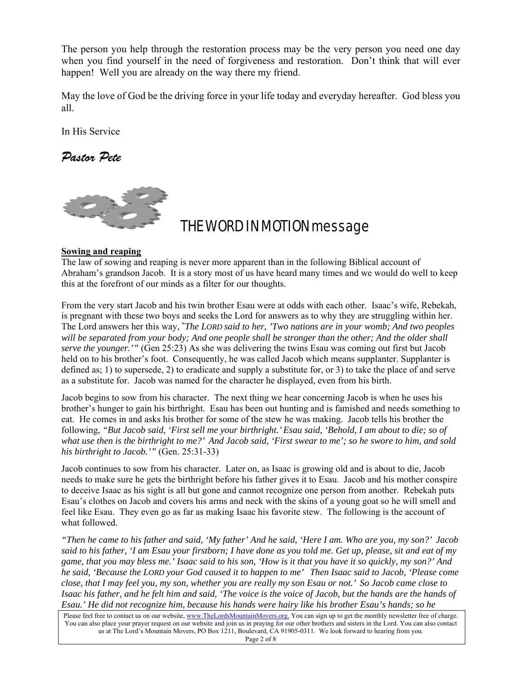The person you help through the restoration process may be the very person you need one day when you find yourself in the need of forgiveness and restoration. Don't think that will ever happen! Well you are already on the way there my friend.

May the love of God be the driving force in your life today and everyday hereafter. God bless you all.

In His Service

*Pastor Pete* 



## THE WORD IN MOTION message

#### **Sowing and reaping**

The law of sowing and reaping is never more apparent than in the following Biblical account of Abraham's grandson Jacob. It is a story most of us have heard many times and we would do well to keep this at the forefront of our minds as a filter for our thoughts.

From the very start Jacob and his twin brother Esau were at odds with each other. Isaac's wife, Rebekah, is pregnant with these two boys and seeks the Lord for answers as to why they are struggling within her. The Lord answers her this way, **"** *The LORD said to her, 'Two nations are in your womb; And two peoples will be separated from your body; And one people shall be stronger than the other; And the older shall serve the younger.'"* (Gen 25:23) As she was delivering the twins Esau was coming out first but Jacob held on to his brother's foot. Consequently, he was called Jacob which means supplanter. Supplanter is defined as; 1) to supersede, 2) to eradicate and supply a substitute for, or 3) to take the place of and serve as a substitute for. Jacob was named for the character he displayed, even from his birth.

Jacob begins to sow from his character. The next thing we hear concerning Jacob is when he uses his brother's hunger to gain his birthright. Esau has been out hunting and is famished and needs something to eat. He comes in and asks his brother for some of the stew he was making. Jacob tells his brother the following, *"But Jacob said, 'First sell me your birthright.' Esau said, 'Behold, I am about to die; so of what use then is the birthright to me?' And Jacob said, 'First swear to me'; so he swore to him, and sold his birthright to Jacob.'"* (Gen. 25:31-33)

Jacob continues to sow from his character. Later on, as Isaac is growing old and is about to die, Jacob needs to make sure he gets the birthright before his father gives it to Esau. Jacob and his mother conspire to deceive Isaac as his sight is all but gone and cannot recognize one person from another. Rebekah puts Esau's clothes on Jacob and covers his arms and neck with the skins of a young goat so he will smell and feel like Esau. They even go as far as making Isaac his favorite stew. The following is the account of what followed.

*"Then he came to his father and said, 'My father' And he said, 'Here I am. Who are you, my son?' Jacob said to his father, 'I am Esau your firstborn; I have done as you told me. Get up, please, sit and eat of my game, that you may bless me.' Isaac said to his son, 'How is it that you have it so quickly, my son?' And he said, 'Because the LORD your God caused it to happen to me' Then Isaac said to Jacob, 'Please come close, that I may feel you, my son, whether you are really my son Esau or not.' So Jacob came close to Isaac his father, and he felt him and said, 'The voice is the voice of Jacob, but the hands are the hands of Esau.' He did not recognize him, because his hands were hairy like his brother Esau's hands; so he* 

Please feel free to contact us on our website, www.TheLordsMountainMovers.org. You can sign up to get the monthly newsletter free of charge. You can also place your prayer request on our website and join us in praying for our other brothers and sisters in the Lord. You can also contact us at The Lord's Mountain Movers, PO Box 1211, Boulevard, CA 91905-0311. We look forward to hearing from you.

Page 2 of 8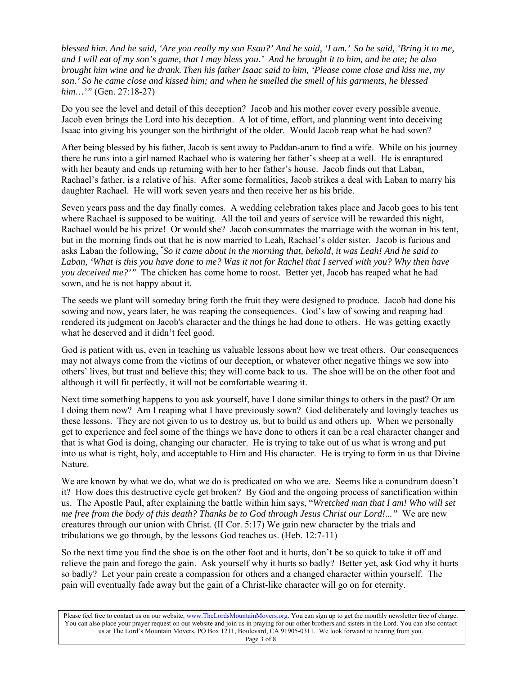*blessed him. And he said, 'Are you really my son Esau?' And he said, 'I am.' So he said, 'Bring it to me, and I will eat of my son's game, that I may bless you.' And he brought it to him, and he ate; he also brought him wine and he drank. Then his father Isaac said to him, 'Please come close and kiss me, my son.' So he came close and kissed him; and when he smelled the smell of his garments, he blessed him…'"* (Gen. 27:18-27)

Do you see the level and detail of this deception? Jacob and his mother cover every possible avenue. Jacob even brings the Lord into his deception. A lot of time, effort, and planning went into deceiving Isaac into giving his younger son the birthright of the older. Would Jacob reap what he had sown?

After being blessed by his father, Jacob is sent away to Paddan-aram to find a wife. While on his journey there he runs into a girl named Rachael who is watering her father's sheep at a well. He is enraptured with her beauty and ends up returning with her to her father's house. Jacob finds out that Laban, Rachael's father, is a relative of his. After some formalities, Jacob strikes a deal with Laban to marry his daughter Rachael. He will work seven years and then receive her as his bride.

Seven years pass and the day finally comes. A wedding celebration takes place and Jacob goes to his tent where Rachael is supposed to be waiting. All the toil and years of service will be rewarded this night, Rachael would be his prize! Or would she? Jacob consummates the marriage with the woman in his tent, but in the morning finds out that he is now married to Leah, Rachael's older sister. Jacob is furious and asks Laban the following, *" So it came about in the morning that, behold, it was Leah! And he said to Laban, 'What is this you have done to me? Was it not for Rachel that I served with you? Why then have you deceived me?'"* The chicken has come home to roost. Better yet, Jacob has reaped what he had sown, and he is not happy about it.

The seeds we plant will someday bring forth the fruit they were designed to produce. Jacob had done his sowing and now, years later, he was reaping the consequences. God's law of sowing and reaping had rendered its judgment on Jacob's character and the things he had done to others. He was getting exactly what he deserved and it didn't feel good.

God is patient with us, even in teaching us valuable lessons about how we treat others. Our consequences may not always come from the victims of our deception, or whatever other negative things we sow into others' lives, but trust and believe this; they will come back to us. The shoe will be on the other foot and although it will fit perfectly, it will not be comfortable wearing it.

Next time something happens to you ask yourself, have I done similar things to others in the past? Or am I doing them now? Am I reaping what I have previously sown? God deliberately and lovingly teaches us these lessons. They are not given to us to destroy us, but to build us and others up. When we personally get to experience and feel some of the things we have done to others it can be a real character changer and that is what God is doing, changing our character. He is trying to take out of us what is wrong and put into us what is right, holy, and acceptable to Him and His character. He is trying to form in us that Divine Nature.

We are known by what we do, what we do is predicated on who we are. Seems like a conundrum doesn't it? How does this destructive cycle get broken? By God and the ongoing process of sanctification within us. The Apostle Paul, after explaining the battle within him says, "*Wretched man that I am! Who will set me free from the body of this death? Thanks be to God through Jesus Christ our Lord!..."* We are new creatures through our union with Christ. (II Cor. 5:17) We gain new character by the trials and tribulations we go through, by the lessons God teaches us. (Heb. 12:7-11)

So the next time you find the shoe is on the other foot and it hurts, don't be so quick to take it off and relieve the pain and forego the gain. Ask yourself why it hurts so badly? Better yet, ask God why it hurts so badly? Let your pain create a compassion for others and a changed character within yourself. The pain will eventually fade away but the gain of a Christ-like character will go on for eternity.

Please feel free to contact us on our website, www.TheLordsMountainMovers.org. You can sign up to get the monthly newsletter free of charge. You can also place your prayer request on our website and join us in praying for our other brothers and sisters in the Lord. You can also contact us at The Lord's Mountain Movers, PO Box 1211, Boulevard, CA 91905-0311. We look forward to hearing from you.

Page 3 of 8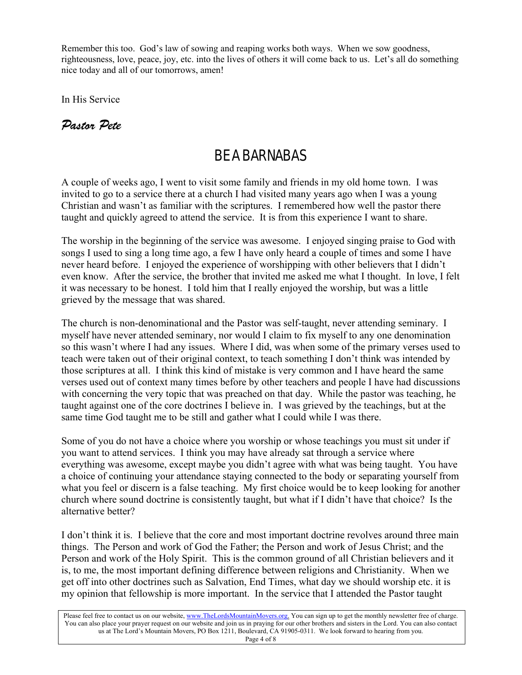Remember this too. God's law of sowing and reaping works both ways. When we sow goodness, righteousness, love, peace, joy, etc. into the lives of others it will come back to us. Let's all do something nice today and all of our tomorrows, amen!

In His Service

### *Pastor Pete*

## BE A BARNABAS

A couple of weeks ago, I went to visit some family and friends in my old home town. I was invited to go to a service there at a church I had visited many years ago when I was a young Christian and wasn't as familiar with the scriptures. I remembered how well the pastor there taught and quickly agreed to attend the service. It is from this experience I want to share.

The worship in the beginning of the service was awesome. I enjoyed singing praise to God with songs I used to sing a long time ago, a few I have only heard a couple of times and some I have never heard before. I enjoyed the experience of worshipping with other believers that I didn't even know. After the service, the brother that invited me asked me what I thought. In love, I felt it was necessary to be honest. I told him that I really enjoyed the worship, but was a little grieved by the message that was shared.

The church is non-denominational and the Pastor was self-taught, never attending seminary. I myself have never attended seminary, nor would I claim to fix myself to any one denomination so this wasn't where I had any issues. Where I did, was when some of the primary verses used to teach were taken out of their original context, to teach something I don't think was intended by those scriptures at all. I think this kind of mistake is very common and I have heard the same verses used out of context many times before by other teachers and people I have had discussions with concerning the very topic that was preached on that day. While the pastor was teaching, he taught against one of the core doctrines I believe in. I was grieved by the teachings, but at the same time God taught me to be still and gather what I could while I was there.

Some of you do not have a choice where you worship or whose teachings you must sit under if you want to attend services. I think you may have already sat through a service where everything was awesome, except maybe you didn't agree with what was being taught. You have a choice of continuing your attendance staying connected to the body or separating yourself from what you feel or discern is a false teaching. My first choice would be to keep looking for another church where sound doctrine is consistently taught, but what if I didn't have that choice? Is the alternative better?

I don't think it is. I believe that the core and most important doctrine revolves around three main things. The Person and work of God the Father; the Person and work of Jesus Christ; and the Person and work of the Holy Spirit. This is the common ground of all Christian believers and it is, to me, the most important defining difference between religions and Christianity. When we get off into other doctrines such as Salvation, End Times, what day we should worship etc. it is my opinion that fellowship is more important. In the service that I attended the Pastor taught

Please feel free to contact us on our website, www.TheLordsMountainMovers.org. You can sign up to get the monthly newsletter free of charge. You can also place your prayer request on our website and join us in praying for our other brothers and sisters in the Lord. You can also contact us at The Lord's Mountain Movers, PO Box 1211, Boulevard, CA 91905-0311. We look forward to hearing from you. Page 4 of 8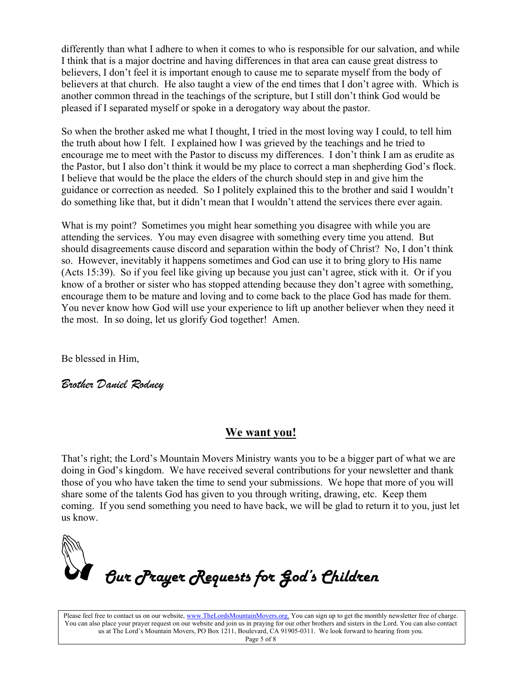differently than what I adhere to when it comes to who is responsible for our salvation, and while I think that is a major doctrine and having differences in that area can cause great distress to believers, I don't feel it is important enough to cause me to separate myself from the body of believers at that church. He also taught a view of the end times that I don't agree with. Which is another common thread in the teachings of the scripture, but I still don't think God would be pleased if I separated myself or spoke in a derogatory way about the pastor.

So when the brother asked me what I thought, I tried in the most loving way I could, to tell him the truth about how I felt. I explained how I was grieved by the teachings and he tried to encourage me to meet with the Pastor to discuss my differences. I don't think I am as erudite as the Pastor, but I also don't think it would be my place to correct a man shepherding God's flock. I believe that would be the place the elders of the church should step in and give him the guidance or correction as needed. So I politely explained this to the brother and said I wouldn't do something like that, but it didn't mean that I wouldn't attend the services there ever again.

What is my point? Sometimes you might hear something you disagree with while you are attending the services. You may even disagree with something every time you attend. But should disagreements cause discord and separation within the body of Christ? No, I don't think so. However, inevitably it happens sometimes and God can use it to bring glory to His name (Acts 15:39). So if you feel like giving up because you just can't agree, stick with it. Or if you know of a brother or sister who has stopped attending because they don't agree with something, encourage them to be mature and loving and to come back to the place God has made for them. You never know how God will use your experience to lift up another believer when they need it the most. In so doing, let us glorify God together! Amen.

Be blessed in Him,

*Brother Daniel Rodney* 

### **We want you!**

That's right; the Lord's Mountain Movers Ministry wants you to be a bigger part of what we are doing in God's kingdom. We have received several contributions for your newsletter and thank those of you who have taken the time to send your submissions. We hope that more of you will share some of the talents God has given to you through writing, drawing, etc. Keep them coming. If you send something you need to have back, we will be glad to return it to you, just let us know.



Please feel free to contact us on our website, www.TheLordsMountainMovers.org. You can sign up to get the monthly newsletter free of charge. You can also place your prayer request on our website and join us in praying for our other brothers and sisters in the Lord. You can also contact us at The Lord's Mountain Movers, PO Box 1211, Boulevard, CA 91905-0311. We look forward to hearing from you.

Page 5 of 8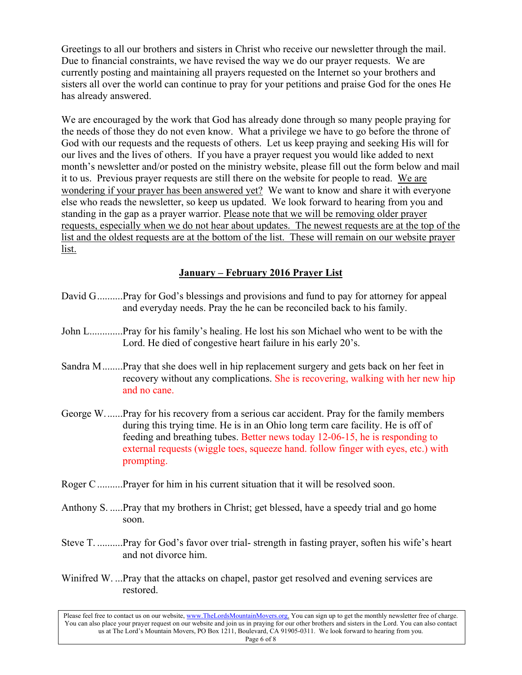Greetings to all our brothers and sisters in Christ who receive our newsletter through the mail. Due to financial constraints, we have revised the way we do our prayer requests. We are currently posting and maintaining all prayers requested on the Internet so your brothers and sisters all over the world can continue to pray for your petitions and praise God for the ones He has already answered.

We are encouraged by the work that God has already done through so many people praying for the needs of those they do not even know. What a privilege we have to go before the throne of God with our requests and the requests of others. Let us keep praying and seeking His will for our lives and the lives of others. If you have a prayer request you would like added to next month's newsletter and/or posted on the ministry website, please fill out the form below and mail it to us. Previous prayer requests are still there on the website for people to read. We are wondering if your prayer has been answered yet? We want to know and share it with everyone else who reads the newsletter, so keep us updated. We look forward to hearing from you and standing in the gap as a prayer warrior. Please note that we will be removing older prayer requests, especially when we do not hear about updates. The newest requests are at the top of the list and the oldest requests are at the bottom of the list. These will remain on our website prayer list.

#### **January – February 2016 Prayer List**

- David G ..........Pray for God's blessings and provisions and fund to pay for attorney for appeal and everyday needs. Pray the he can be reconciled back to his family.
- John L.............Pray for his family's healing. He lost his son Michael who went to be with the Lord. He died of congestive heart failure in his early 20's.
- Sandra M ........Pray that she does well in hip replacement surgery and gets back on her feet in recovery without any complications. She is recovering, walking with her new hip and no cane.
- George W. ......Pray for his recovery from a serious car accident. Pray for the family members during this trying time. He is in an Ohio long term care facility. He is off of feeding and breathing tubes. Better news today 12-06-15, he is responding to external requests (wiggle toes, squeeze hand. follow finger with eyes, etc.) with prompting.
- Roger C ..........Prayer for him in his current situation that it will be resolved soon.
- Anthony S. .....Pray that my brothers in Christ; get blessed, have a speedy trial and go home soon.
- Steve T. ..........Pray for God's favor over trial- strength in fasting prayer, soften his wife's heart and not divorce him.
- Winifred W. ...Pray that the attacks on chapel, pastor get resolved and evening services are restored.

Please feel free to contact us on our website, www.TheLordsMountainMovers.org. You can sign up to get the monthly newsletter free of charge. You can also place your prayer request on our website and join us in praying for our other brothers and sisters in the Lord. You can also contact us at The Lord's Mountain Movers, PO Box 1211, Boulevard, CA 91905-0311. We look forward to hearing from you. Page 6 of 8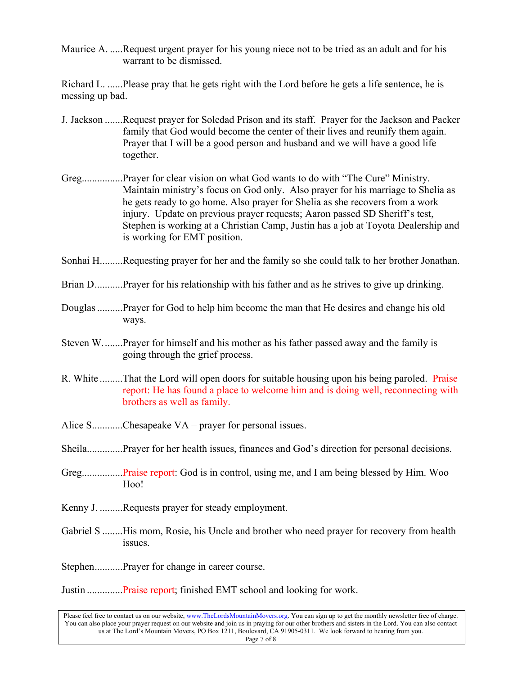Maurice A. .....Request urgent prayer for his young niece not to be tried as an adult and for his warrant to be dismissed.

Richard L. ......Please pray that he gets right with the Lord before he gets a life sentence, he is messing up bad.

- J. Jackson .......Request prayer for Soledad Prison and its staff. Prayer for the Jackson and Packer family that God would become the center of their lives and reunify them again. Prayer that I will be a good person and husband and we will have a good life together.
- Greg................Prayer for clear vision on what God wants to do with "The Cure" Ministry. Maintain ministry's focus on God only. Also prayer for his marriage to Shelia as he gets ready to go home. Also prayer for Shelia as she recovers from a work injury. Update on previous prayer requests; Aaron passed SD Sheriff's test, Stephen is working at a Christian Camp, Justin has a job at Toyota Dealership and is working for EMT position.
- Sonhai H.........Requesting prayer for her and the family so she could talk to her brother Jonathan.
- Brian D...........Prayer for his relationship with his father and as he strives to give up drinking.
- Douglas ..........Prayer for God to help him become the man that He desires and change his old ways.
- Steven W. .......Prayer for himself and his mother as his father passed away and the family is going through the grief process.
- R. White .........That the Lord will open doors for suitable housing upon his being paroled. Praise report: He has found a place to welcome him and is doing well, reconnecting with brothers as well as family.
- Alice S...........Chesapeake VA prayer for personal issues.
- Sheila..............Prayer for her health issues, finances and God's direction for personal decisions.
- Greg................Praise report: God is in control, using me, and I am being blessed by Him. Woo Hoo!
- Kenny J. .........Requests prayer for steady employment.
- Gabriel S ........His mom, Rosie, his Uncle and brother who need prayer for recovery from health issues.
- Stephen...........Prayer for change in career course.

Justin ..............Praise report; finished EMT school and looking for work.

Please feel free to contact us on our website, www.TheLordsMountainMovers.org. You can sign up to get the monthly newsletter free of charge. You can also place your prayer request on our website and join us in praying for our other brothers and sisters in the Lord. You can also contact us at The Lord's Mountain Movers, PO Box 1211, Boulevard, CA 91905-0311. We look forward to hearing from you. Page 7 of 8